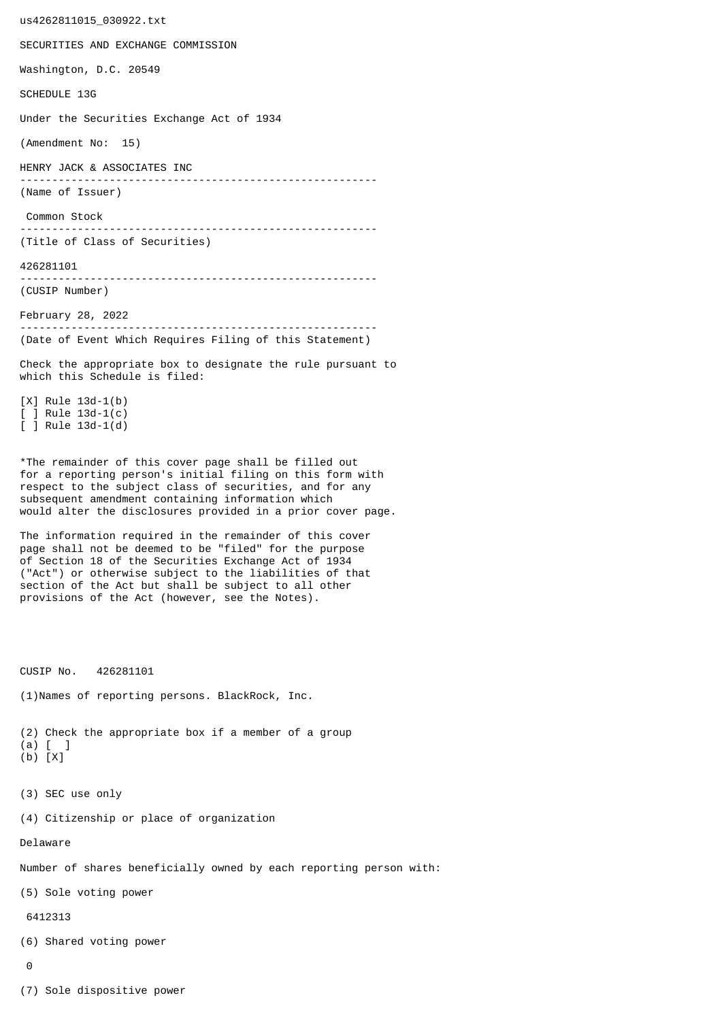us4262811015\_030922.txt SECURITIES AND EXCHANGE COMMISSION Washington, D.C. 20549 SCHEDULE 13G Under the Securities Exchange Act of 1934 (Amendment No: 15) HENRY JACK & ASSOCIATES INC -------------------------------------------------------- (Name of Issuer) Common Stock -------------------------------------------------------- (Title of Class of Securities) 426281101 -------------------------------------------------------- (CUSIP Number) February 28, 2022 -------------------------------------------------------- (Date of Event Which Requires Filing of this Statement) Check the appropriate box to designate the rule pursuant to which this Schedule is filed: [X] Rule 13d-1(b) [ ] Rule 13d-1(c) [ ] Rule 13d-1(d) \*The remainder of this cover page shall be filled out for a reporting person's initial filing on this form with respect to the subject class of securities, and for any subsequent amendment containing information which would alter the disclosures provided in a prior cover page. The information required in the remainder of this cover page shall not be deemed to be "filed" for the purpose of Section 18 of the Securities Exchange Act of 1934 ("Act") or otherwise subject to the liabilities of that section of the Act but shall be subject to all other provisions of the Act (however, see the Notes). CUSIP No. 426281101 (1)Names of reporting persons. BlackRock, Inc. (2) Check the appropriate box if a member of a group (a) [ ] (b) [X] (3) SEC use only (4) Citizenship or place of organization Delaware Number of shares beneficially owned by each reporting person with: (5) Sole voting power 6412313 (6) Shared voting power  $\Omega$ 

(7) Sole dispositive power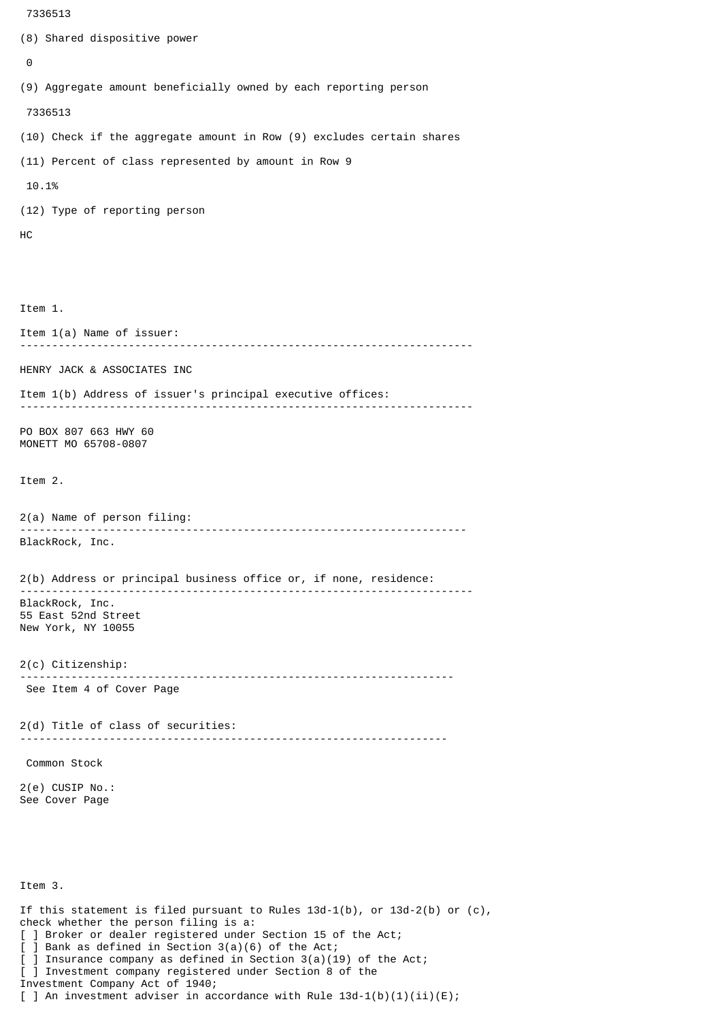```
 7336513
(8) Shared dispositive power
 \boldsymbol{\Theta}(9) Aggregate amount beneficially owned by each reporting person
  7336513
(10) Check if the aggregate amount in Row (9) excludes certain shares
(11) Percent of class represented by amount in Row 9
 10.1%
(12) Type of reporting person
HC
Item 1.
Item 1(a) Name of issuer:
            -----------------------------------------------------------------------
HENRY JACK & ASSOCIATES INC
Item 1(b) Address of issuer's principal executive offices:
-----------------------------------------------------------------------
PO BOX 807 663 HWY 60
MONETT MO 65708-0807
Item 2.
2(a) Name of person filing:
               ----------------------------------------------------------------------
BlackRock, Inc.
2(b) Address or principal business office or, if none, residence:
 -----------------------------------------------------------------------
BlackRock, Inc.
55 East 52nd Street
New York, NY 10055
2(c) Citizenship:
                             --------------------------------------------------------------------
 See Item 4 of Cover Page
2(d) Title of class of securities:
                                       -------------------------------------------------------------------
 Common Stock
2(e) CUSIP No.:
See Cover Page
Item 3.
If this statement is filed pursuant to Rules 13d-1(b), or 13d-2(b) or (c),
```
check whether the person filing is a:

Investment Company Act of 1940;

[ ] Broker or dealer registered under Section 15 of the Act;

[ ] Investment company registered under Section 8 of the

] Insurance company as defined in Section  $3(a)(19)$  of the Act;

[ ] An investment adviser in accordance with Rule  $13d-1(b)(1)(ii)(E)$ ;

[ ] Bank as defined in Section 3(a)(6) of the Act;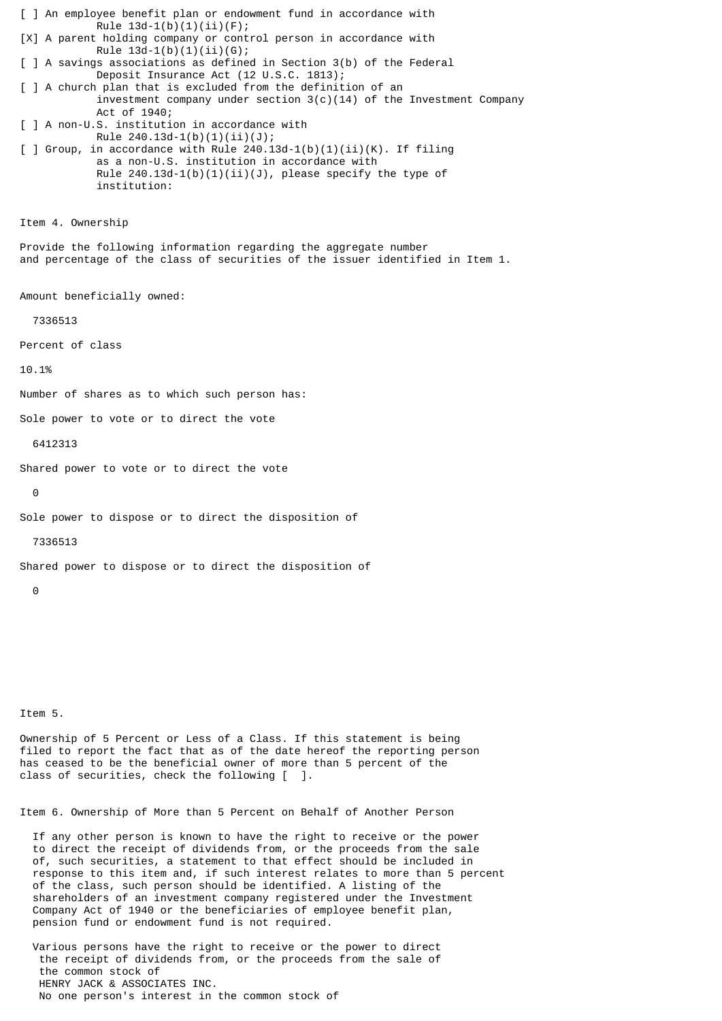[ ] An employee benefit plan or endowment fund in accordance with Rule  $13d-1(b)(1)(ii)(F);$ [X] A parent holding company or control person in accordance with Rule  $13d-1(b)(1)(ii)(G);$ [ ] A savings associations as defined in Section 3(b) of the Federal Deposit Insurance Act (12 U.S.C. 1813); [ ] A church plan that is excluded from the definition of an investment company under section  $3(c)(14)$  of the Investment Company Act of 1940; [ ] A non-U.S. institution in accordance with Rule 240.13d-1(b)(1)(ii)(J);  $\lceil$  ] Group, in accordance with Rule 240.13d-1(b)(1)(ii)(K). If filing as a non-U.S. institution in accordance with Rule  $240.13d-1(b)(1)(ii)(J)$ , please specify the type of institution: Item 4. Ownership Provide the following information regarding the aggregate number and percentage of the class of securities of the issuer identified in Item 1. Amount beneficially owned: 7336513 Percent of class 10.1% Number of shares as to which such person has: Sole power to vote or to direct the vote 6412313 Shared power to vote or to direct the vote  $\Theta$ Sole power to dispose or to direct the disposition of 7336513 Shared power to dispose or to direct the disposition of 0

Item 5.

Ownership of 5 Percent or Less of a Class. If this statement is being filed to report the fact that as of the date hereof the reporting person has ceased to be the beneficial owner of more than 5 percent of the class of securities, check the following [ ].

Item 6. Ownership of More than 5 Percent on Behalf of Another Person

 If any other person is known to have the right to receive or the power to direct the receipt of dividends from, or the proceeds from the sale of, such securities, a statement to that effect should be included in response to this item and, if such interest relates to more than 5 percent of the class, such person should be identified. A listing of the shareholders of an investment company registered under the Investment Company Act of 1940 or the beneficiaries of employee benefit plan, pension fund or endowment fund is not required.

 Various persons have the right to receive or the power to direct the receipt of dividends from, or the proceeds from the sale of the common stock of HENRY JACK & ASSOCIATES INC. No one person's interest in the common stock of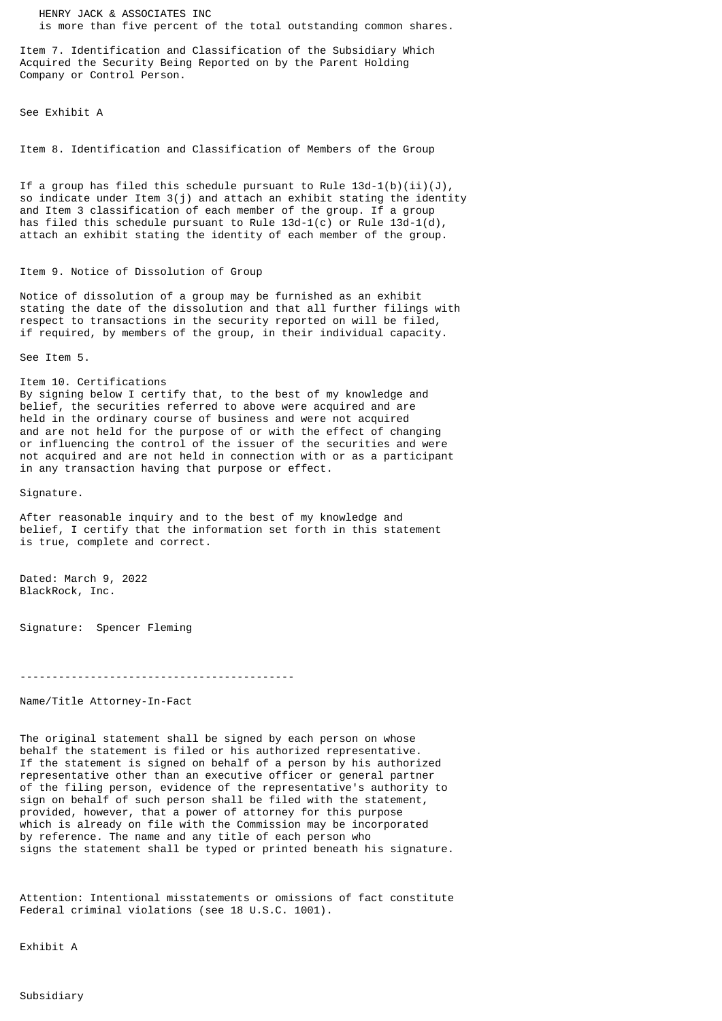HENRY JACK & ASSOCIATES INC is more than five percent of the total outstanding common shares.

Item 7. Identification and Classification of the Subsidiary Which Acquired the Security Being Reported on by the Parent Holding Company or Control Person.

See Exhibit A

Item 8. Identification and Classification of Members of the Group

If a group has filed this schedule pursuant to Rule  $13d-1(b)(ii)(J)$ , so indicate under Item 3(j) and attach an exhibit stating the identity and Item 3 classification of each member of the group. If a group has filed this schedule pursuant to Rule  $13d-1(c)$  or Rule  $13d-1(d)$ , attach an exhibit stating the identity of each member of the group.

## Item 9. Notice of Dissolution of Group

Notice of dissolution of a group may be furnished as an exhibit stating the date of the dissolution and that all further filings with respect to transactions in the security reported on will be filed, if required, by members of the group, in their individual capacity.

See Item 5.

Item 10. Certifications By signing below I certify that, to the best of my knowledge and belief, the securities referred to above were acquired and are held in the ordinary course of business and were not acquired and are not held for the purpose of or with the effect of changing or influencing the control of the issuer of the securities and were not acquired and are not held in connection with or as a participant

in any transaction having that purpose or effect.

Signature.

After reasonable inquiry and to the best of my knowledge and belief, I certify that the information set forth in this statement is true, complete and correct.

Dated: March 9, 2022 BlackRock, Inc.

Signature: Spencer Fleming

-------------------------------------------

Name/Title Attorney-In-Fact

The original statement shall be signed by each person on whose behalf the statement is filed or his authorized representative. If the statement is signed on behalf of a person by his authorized representative other than an executive officer or general partner of the filing person, evidence of the representative's authority to sign on behalf of such person shall be filed with the statement, provided, however, that a power of attorney for this purpose which is already on file with the Commission may be incorporated by reference. The name and any title of each person who signs the statement shall be typed or printed beneath his signature.

Attention: Intentional misstatements or omissions of fact constitute Federal criminal violations (see 18 U.S.C. 1001).

Exhibit A